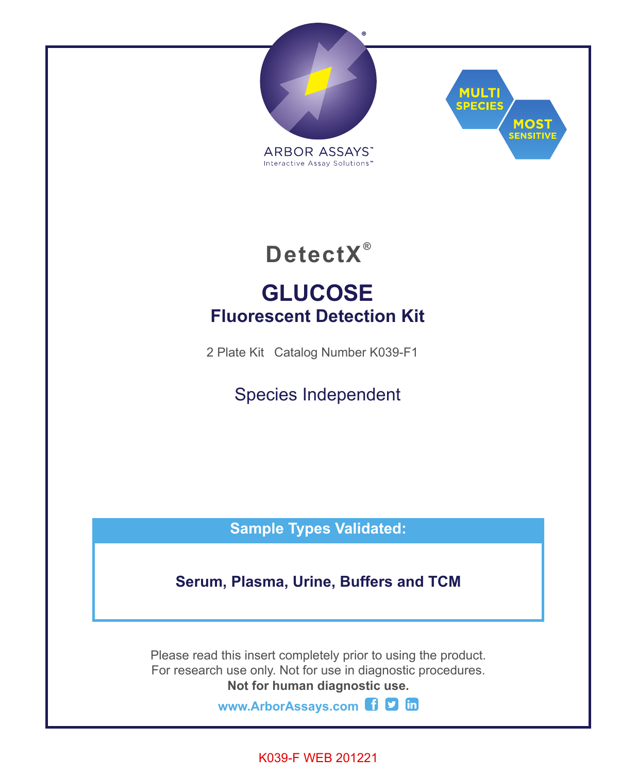



**DetectX ®**

# **GLUCOSE Fluorescent Detection Kit**

2 Plate Kit Catalog Number K039-F1

Species Independent

**Sample Types Validated:**

**Serum, Plasma, Urine, Buffers and TCM**

Please read this insert completely prior to using the product. For research use only. Not for use in diagnostic procedures. **Not for human diagnostic use.**

**www.ArborAssays.com** 

K039-F WEB 201221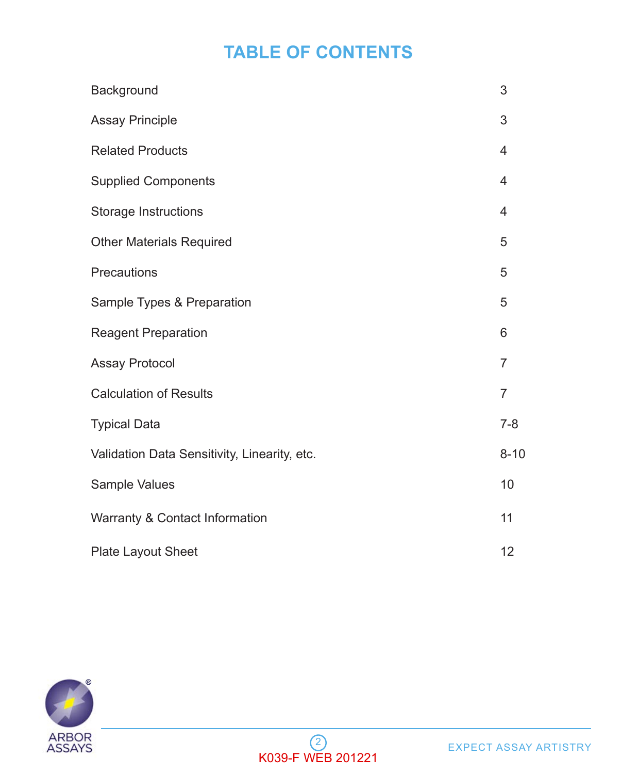# **TABLE OF CONTENTS**

| Background                                   | 3              |
|----------------------------------------------|----------------|
| <b>Assay Principle</b>                       | 3              |
| <b>Related Products</b>                      | $\overline{4}$ |
| <b>Supplied Components</b>                   | $\overline{4}$ |
| Storage Instructions                         | $\overline{4}$ |
| <b>Other Materials Required</b>              | 5              |
| Precautions                                  | 5              |
| Sample Types & Preparation                   | 5              |
| Reagent Preparation                          | 6              |
| <b>Assay Protocol</b>                        | 7              |
| <b>Calculation of Results</b>                | 7              |
| <b>Typical Data</b>                          | $7 - 8$        |
| Validation Data Sensitivity, Linearity, etc. | $8 - 10$       |
| Sample Values                                | 10             |
| Warranty & Contact Information               | 11             |
| Plate Layout Sheet                           | 12             |

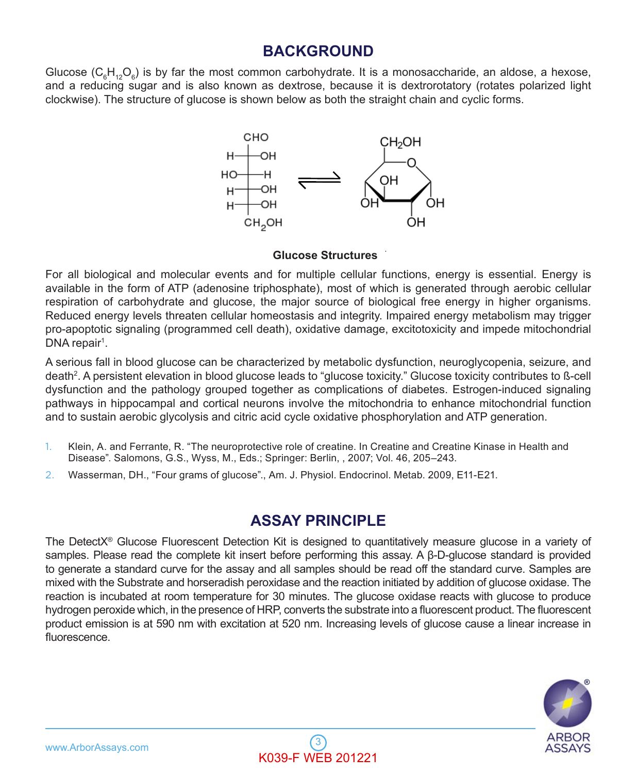### **BACKGROUND**

Glucose ( $C_6H_{12}O_6$ ) is by far the most common carbohydrate. It is a monosaccharide, an aldose, a hexose, and a reducing sugar and is also known as dextrose, because it is dextrorotatory (rotates polarized light clockwise). The structure of glucose is shown below as both the straight chain and cyclic forms.



#### **Glucose Structures**

For all biological and molecular events and for multiple cellular functions, energy is essential. Energy is available in the form of ATP (adenosine triphosphate), most of which is generated through aerobic cellular respiration of carbohydrate and glucose, the major source of biological free energy in higher organisms. Reduced energy levels threaten cellular homeostasis and integrity. Impaired energy metabolism may trigger pro-apoptotic signaling (programmed cell death), oxidative damage, excitotoxicity and impede mitochondrial DNA repair<sup>1</sup>.

A serious fall in blood glucose can be characterized by metabolic dysfunction, neuroglycopenia, seizure, and death<sup>2</sup>. A persistent elevation in blood glucose leads to "glucose toxicity." Glucose toxicity contributes to ß-cell dysfunction and the pathology grouped together as complications of diabetes. Estrogen-induced signaling pathways in hippocampal and cortical neurons involve the mitochondria to enhance mitochondrial function and to sustain aerobic glycolysis and citric acid cycle oxidative phosphorylation and ATP generation.

- 1. Klein, A. and Ferrante, R. "The neuroprotective role of creatine. In Creatine and Creatine Kinase in Health and Disease". Salomons, G.S., Wyss, M., Eds.; Springer: Berlin, , 2007; Vol. 46, 205–243.
- 2. Wasserman, DH., "Four grams of glucose"., Am. J. Physiol. Endocrinol. Metab. 2009, E11-E21.

### **ASSAY PRINCIPLE**

The DetectX® Glucose Fluorescent Detection Kit is designed to quantitatively measure glucose in a variety of samples. Please read the complete kit insert before performing this assay. A β-D-glucose standard is provided to generate a standard curve for the assay and all samples should be read off the standard curve. Samples are mixed with the Substrate and horseradish peroxidase and the reaction initiated by addition of glucose oxidase. The reaction is incubated at room temperature for 30 minutes. The glucose oxidase reacts with glucose to produce hydrogen peroxide which, in the presence of HRP, converts the substrate into a fluorescent product. The fluorescent product emission is at 590 nm with excitation at 520 nm. Increasing levels of glucose cause a linear increase in fluorescence.

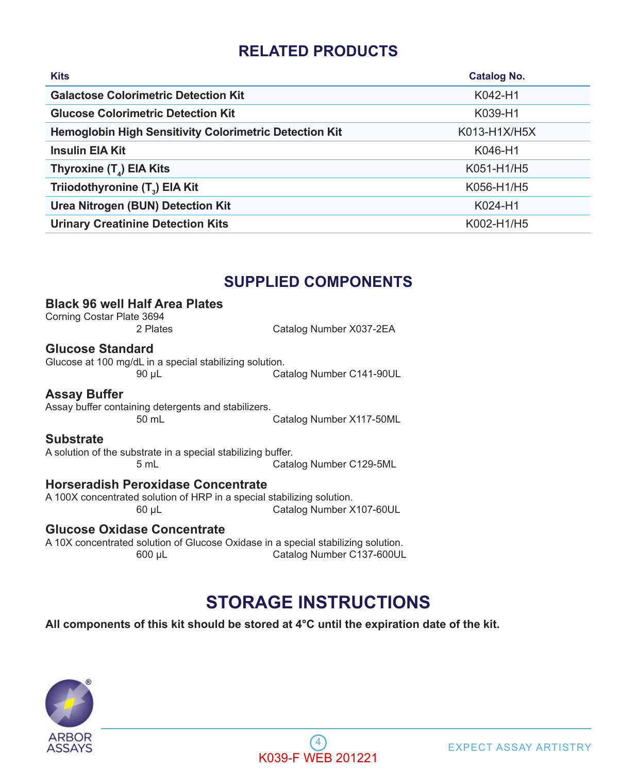# **RELATED PRODUCTS**

| <b>Kits</b>                                                   | <b>Catalog No.</b> |
|---------------------------------------------------------------|--------------------|
| <b>Galactose Colorimetric Detection Kit</b>                   | K042-H1            |
| <b>Glucose Colorimetric Detection Kit</b>                     | K039-H1            |
| <b>Hemoglobin High Sensitivity Colorimetric Detection Kit</b> | K013-H1X/H5X       |
| <b>Insulin EIA Kit</b>                                        | K046-H1            |
| Thyroxine $(T_A)$ EIA Kits                                    | K051-H1/H5         |
| Triiodothyronine (T <sub>3</sub> ) EIA Kit                    | K056-H1/H5         |
| Urea Nitrogen (BUN) Detection Kit                             | K024-H1            |
| <b>Urinary Creatinine Detection Kits</b>                      | K002-H1/H5         |

### **SUPPLIED COMPONENTS**

#### **Black 96 well Half Area Plates**

Corning Costar Plate 3694

2 Plates Catalog Number X037-2EA

#### **Glucose Standard**

Glucose at 100 mg/dL in a special stabilizing solution.<br>Ca Catalog Number C141-90UL

#### **Assay Buffer**

Assay buffer containing detergents and stabilizers. Catalog Number X117-50ML

#### **Substrate**

A solution of the substrate in a special stabilizing buffer. Catalog Number C129-5ML

#### **Horseradish Peroxidase Concentrate**

A 100X concentrated solution of HRP in a special stabilizing solution.<br>Catalog Number X Catalog Number X107-60UL

#### **Glucose Oxidase Concentrate**

A 10X concentrated solution of Glucose Oxidase in a special stabilizing solution. 600 µL Catalog Number C137-600UL

# **STORAGE INSTRUCTIONS**

**All components of this kit should be stored at 4°C until the expiration date of the kit.** 



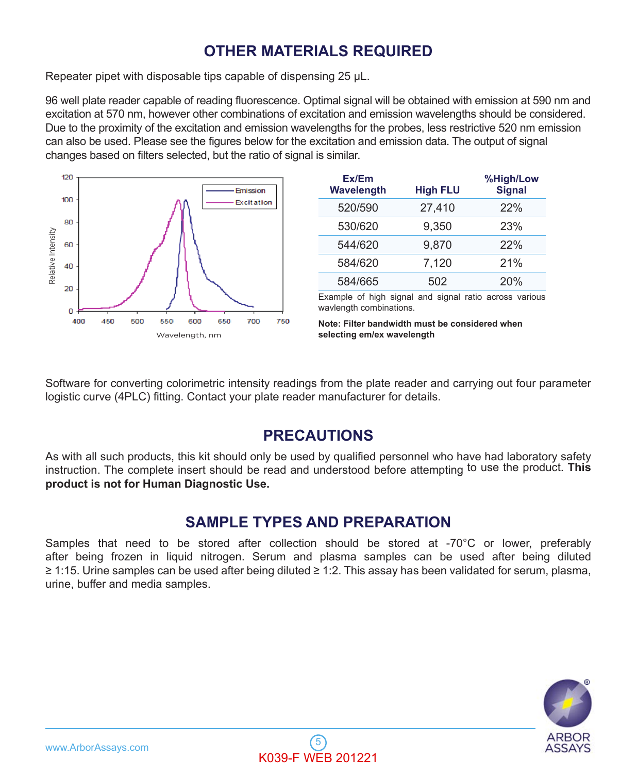# **OTHER MATERIALS REQUIRED**

Repeater pipet with disposable tips capable of dispensing 25 µL.

96 well plate reader capable of reading fluorescence. Optimal signal will be obtained with emission at 590 nm and excitation at 570 nm, however other combinations of excitation and emission wavelengths should be considered. Due to the proximity of the excitation and emission wavelengths for the probes, less restrictive 520 nm emission can also be used. Please see the figures below for the excitation and emission data. The output of signal changes based on filters selected, but the ratio of signal is similar.



| Ex/Em<br>Wavelength | <b>High FLU</b> | %High/Low<br><b>Signal</b> |
|---------------------|-----------------|----------------------------|
| 520/590             | 27.410          | 22%                        |
| 530/620             | 9.350           | 23%                        |
| 544/620             | 9,870           | 22%                        |
| 584/620             | 7.120           | 21%                        |
| 584/665             | 502             | 20%                        |

Example of high signal and signal ratio across various wavlength combinations.

**Note: Filter bandwidth must be considered when selecting em/ex wavelength**

Software for converting colorimetric intensity readings from the plate reader and carrying out four parameter logistic curve (4PLC) fitting. Contact your plate reader manufacturer for details.

## **PRECAUTIONS**

As with all such products, this kit should only be used by qualified personnel who have had laboratory safety instruction. The complete insert should be read and understood before attempting to use the product. **This product is not for Human Diagnostic Use.**

## **SAMPLE TYPES AND PREPARATION**

Samples that need to be stored after collection should be stored at -70°C or lower, preferably after being frozen in liquid nitrogen. Serum and plasma samples can be used after being diluted ≥ 1:15. Urine samples can be used after being diluted ≥ 1:2. This assay has been validated for serum, plasma, urine, buffer and media samples.

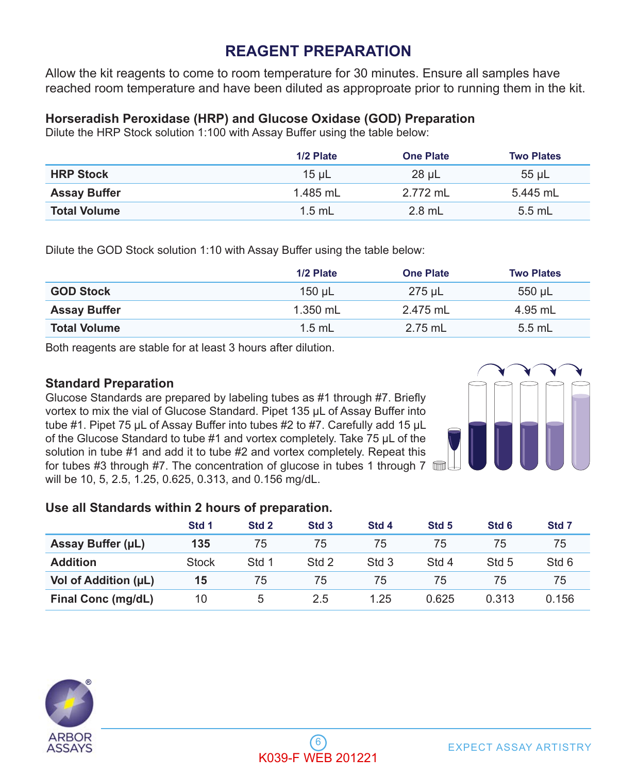# **REAGENT PREPARATION**

Allow the kit reagents to come to room temperature for 30 minutes. Ensure all samples have reached room temperature and have been diluted as approproate prior to running them in the kit.

#### **Horseradish Peroxidase (HRP) and Glucose Oxidase (GOD) Preparation**

Dilute the HRP Stock solution 1:100 with Assay Buffer using the table below:

|                     | 1/2 Plate  | <b>One Plate</b> | <b>Two Plates</b> |
|---------------------|------------|------------------|-------------------|
| <b>HRP Stock</b>    | $15 \mu$ L | 28 µL            | $55$ µL           |
| <b>Assay Buffer</b> | 1.485 mL   | 2.772 ml         | 5.445 mL          |
| <b>Total Volume</b> | $1.5$ mL   | $2.8$ mL         | $5.5$ mL          |

Dilute the GOD Stock solution 1:10 with Assay Buffer using the table below:

|                     | 1/2 Plate  | <b>One Plate</b> | <b>Two Plates</b> |
|---------------------|------------|------------------|-------------------|
| <b>GOD Stock</b>    | 150 uL     | 275 uL           | 550 µL            |
| <b>Assay Buffer</b> | $1.350$ mL | 2.475 mL         | 4.95 mL           |
| <b>Total Volume</b> | $1.5$ mL   | $2.75$ mL        | 5.5 mL            |

Both reagents are stable for at least 3 hours after dilution.

#### **Standard Preparation**

Glucose Standards are prepared by labeling tubes as #1 through #7. Briefly vortex to mix the vial of Glucose Standard. Pipet 135 µL of Assay Buffer into tube #1. Pipet 75 µL of Assay Buffer into tubes #2 to #7. Carefully add 15 µL of the Glucose Standard to tube #1 and vortex completely. Take 75 µL of the solution in tube #1 and add it to tube #2 and vortex completely. Repeat this for tubes #3 through #7. The concentration of glucose in tubes 1 through 7 will be 10, 5, 2.5, 1.25, 0.625, 0.313, and 0.156 mg/dL.



#### **Use all Standards within 2 hours of preparation.**

|                      | Std 1 | Std <sub>2</sub> | Std <sub>3</sub> | Std <sub>4</sub> | Std <sub>5</sub> | Std <sub>6</sub> | Std <sub>7</sub> |
|----------------------|-------|------------------|------------------|------------------|------------------|------------------|------------------|
| Assay Buffer (µL)    | 135   | 75               | 75               | 75               | 75               | 75               | 75               |
| <b>Addition</b>      | Stock | Std 1            | Std 2            | Std 3            | Std 4            | Std 5            | Std 6            |
| Vol of Addition (µL) | 15    | 75               | 75               | 75               | 75               | 75               | 75               |
| Final Conc (mg/dL)   | 10    | 5                | 2.5              | 1.25             | 0.625            | 0.313            | 0.156            |

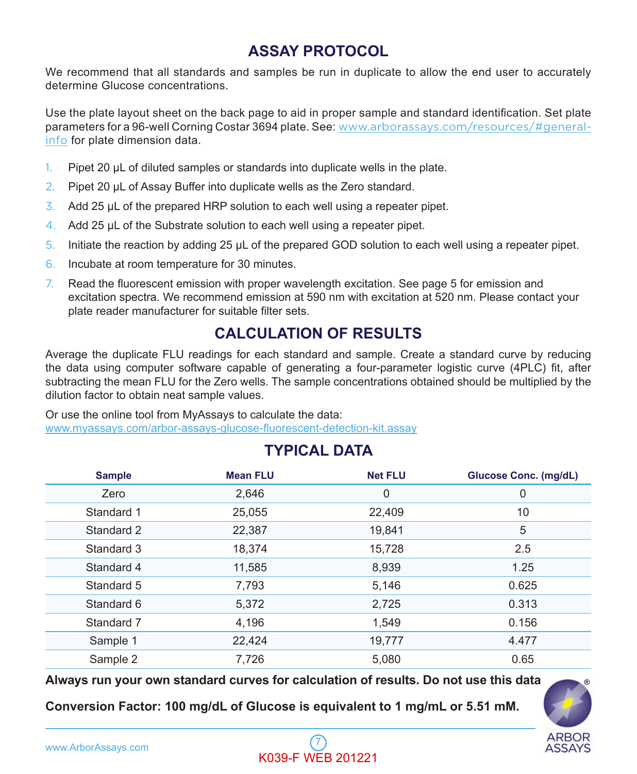# **ASSAY PROTOCOL**

We recommend that all standards and samples be run in duplicate to allow the end user to accurately determine Glucose concentrations.

Use the plate layout sheet on the back page to aid in proper sample and standard identification. Set plate parameters for a 96-well Corning Costar 3694 plate. See: www.arborassays.com/resources/#generalinfo for plate dimension data.

- 1. Pipet 20 µL of diluted samples or standards into duplicate wells in the plate.
- 2. Pipet 20 µL of Assay Buffer into duplicate wells as the Zero standard.
- $3.$  Add 25 µL of the prepared HRP solution to each well using a repeater pipet.
- 4. Add 25 µL of the Substrate solution to each well using a repeater pipet.
- 5. Initiate the reaction by adding 25 µL of the prepared GOD solution to each well using a repeater pipet.
- 6. Incubate at room temperature for 30 minutes.
- 7. Read the fluorescent emission with proper wavelength excitation. See page 5 for emission and excitation spectra. We recommend emission at 590 nm with excitation at 520 nm. Please contact your plate reader manufacturer for suitable filter sets.

# **CALCULATION OF RESULTS**

Average the duplicate FLU readings for each standard and sample. Create a standard curve by reducing the data using computer software capable of generating a four-parameter logistic curve (4PLC) fit, after subtracting the mean FLU for the Zero wells. The sample concentrations obtained should be multiplied by the dilution factor to obtain neat sample values.

Or use the online tool from MyAssays to calculate the data: www.myassays.com/arbor-assays-glucose-fluorescent-detection-kit.assay

# **Sample Mean FLU Net FLU Glucose Conc. (mg/dL)** Zero 2,646 0 0 Standard 1 25,055 22,409 2010 10 Standard 2 22,387 19,841 5 Standard 3 18,374 15,728 2.5 Standard 4 11,585 8,939 1.25 Standard 5 7,793 5,146 0.625 Standard 6 5,372 2,725 0.313 Standard 7 4,196 1,549 0.156 Sample 1 22,424 19,777 4.477 Sample 2 7,726 5,080 0.65

**TYPICAL DATA**

**Always run your own standard curves for calculation of results. Do not use this data**

**Conversion Factor: 100 mg/dL of Glucose is equivalent to 1 mg/mL or 5.51 mM.**



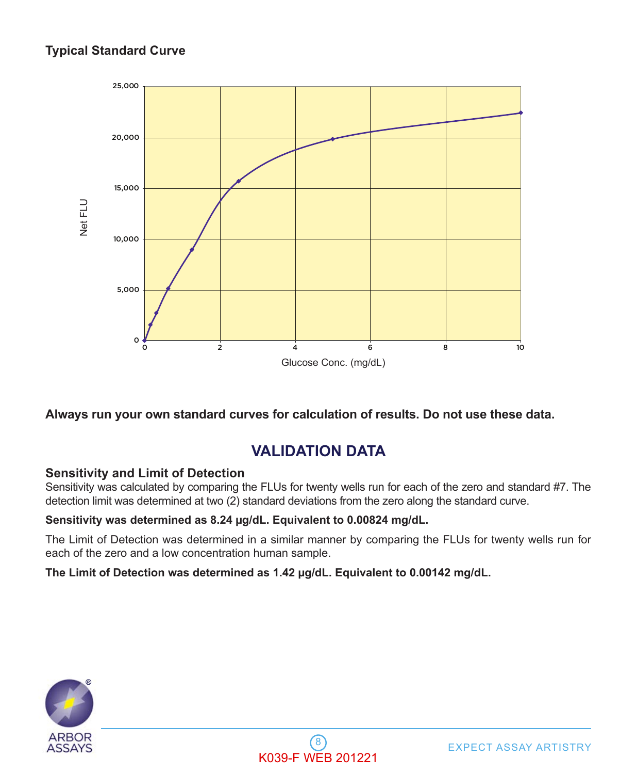### **Typical Standard Curve**



#### **Always run your own standard curves for calculation of results. Do not use these data.**

## **VALIDATION DATA**

#### **Sensitivity and Limit of Detection**

Sensitivity was calculated by comparing the FLUs for twenty wells run for each of the zero and standard #7. The detection limit was determined at two (2) standard deviations from the zero along the standard curve.

#### **Sensitivity was determined as 8.24 µg/dL. Equivalent to 0.00824 mg/dL.**

The Limit of Detection was determined in a similar manner by comparing the FLUs for twenty wells run for each of the zero and a low concentration human sample.

**The Limit of Detection was determined as 1.42 µg/dL. Equivalent to 0.00142 mg/dL.**



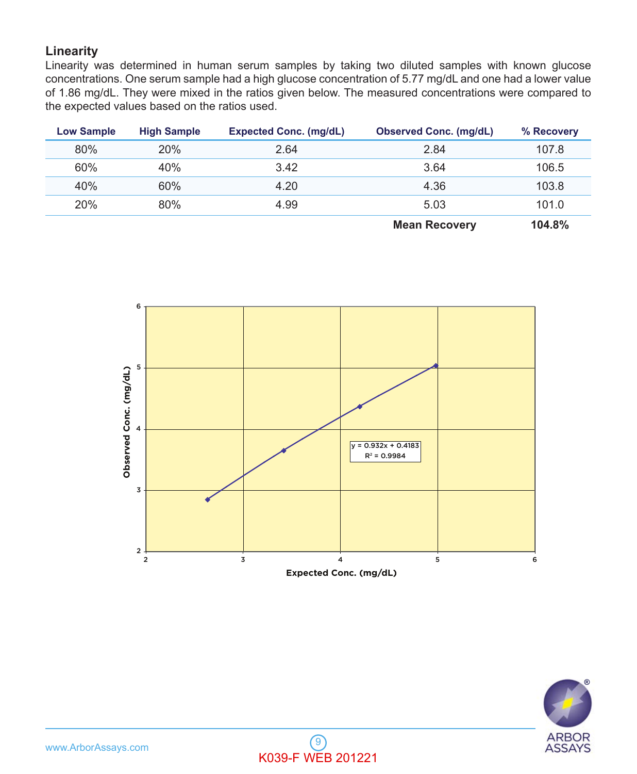#### **Linearity**

Linearity was determined in human serum samples by taking two diluted samples with known glucose concentrations. One serum sample had a high glucose concentration of 5.77 mg/dL and one had a lower value of 1.86 mg/dL. They were mixed in the ratios given below. The measured concentrations were compared to the expected values based on the ratios used.

| <b>Low Sample</b> | <b>High Sample</b> | <b>Expected Conc. (mg/dL)</b> | <b>Observed Conc. (mg/dL)</b> | % Recovery |
|-------------------|--------------------|-------------------------------|-------------------------------|------------|
| 80%               | 20%                | 2.64                          | 2.84                          | 107.8      |
| 60%               | 40%                | 3.42                          | 3.64                          | 106.5      |
| 40%               | 60%                | 4.20                          | 4.36                          | 103.8      |
| 20%               | 80%                | 4.99                          | 5.03                          | 101.0      |
|                   |                    |                               | <b>Mean Recovery</b>          | 104.8%     |





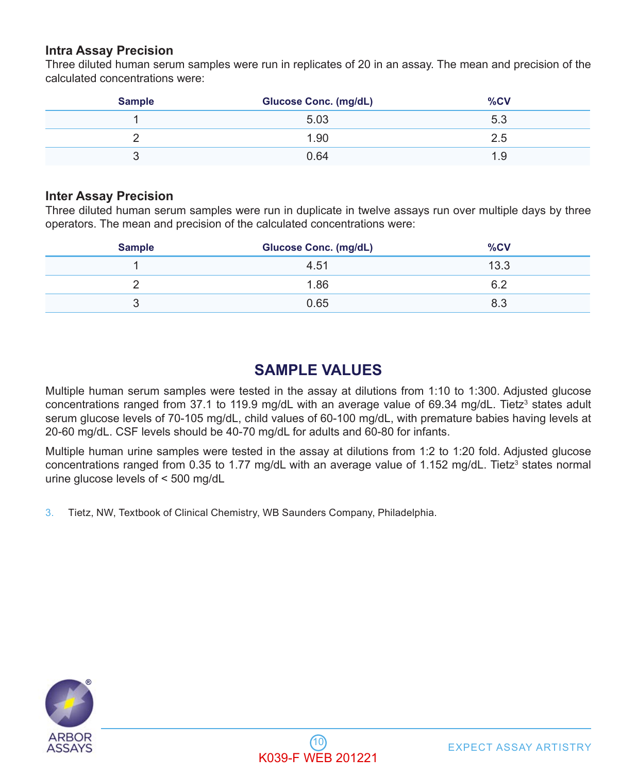#### **Intra Assay Precision**

Three diluted human serum samples were run in replicates of 20 in an assay. The mean and precision of the calculated concentrations were:

| <b>Sample</b> | <b>Glucose Conc. (mg/dL)</b> | %CV  |
|---------------|------------------------------|------|
|               | 5.03                         | 5.3  |
|               | 1.90                         | 2.5  |
| ີ             | 0.64                         | 1.9. |

#### **Inter Assay Precision**

Three diluted human serum samples were run in duplicate in twelve assays run over multiple days by three operators. The mean and precision of the calculated concentrations were:

| <b>Sample</b> | <b>Glucose Conc. (mg/dL)</b> | %CV  |
|---------------|------------------------------|------|
|               | 4.51                         | 13.3 |
|               | 1.86                         | 6.2  |
| ບ             | 0.65                         | 8.3  |

## **SAMPLE VALUES**

Multiple human serum samples were tested in the assay at dilutions from 1:10 to 1:300. Adjusted glucose concentrations ranged from 37.1 to 119.9 mg/dL with an average value of 69.34 mg/dL. Tietz<sup>3</sup> states adult serum glucose levels of 70-105 mg/dL, child values of 60-100 mg/dL, with premature babies having levels at 20-60 mg/dL. CSF levels should be 40-70 mg/dL for adults and 60-80 for infants.

Multiple human urine samples were tested in the assay at dilutions from 1:2 to 1:20 fold. Adjusted glucose concentrations ranged from 0.35 to 1.77 mg/dL with an average value of 1.152 mg/dL. Tietz<sup>3</sup> states normal urine glucose levels of < 500 mg/dL

3. Tietz, NW, Textbook of Clinical Chemistry, WB Saunders Company, Philadelphia.

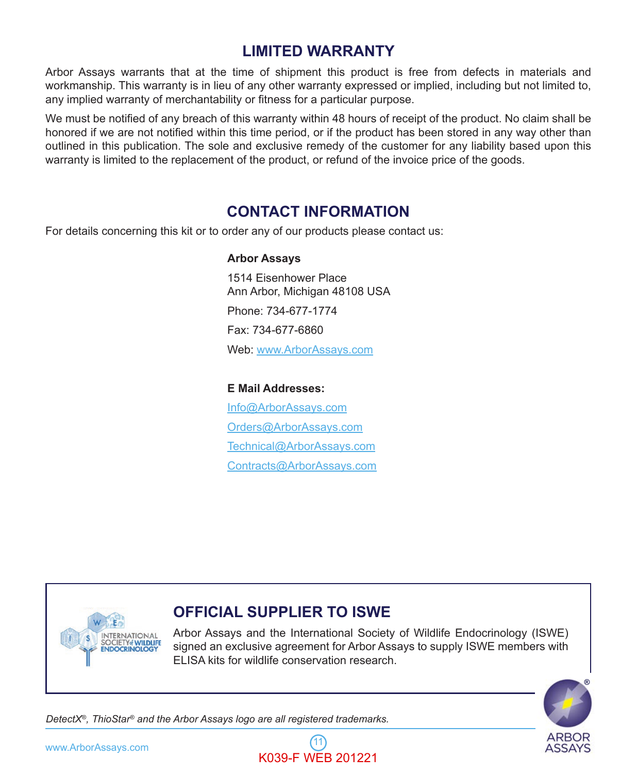# **LIMITED WARRANTY**

Arbor Assays warrants that at the time of shipment this product is free from defects in materials and workmanship. This warranty is in lieu of any other warranty expressed or implied, including but not limited to, any implied warranty of merchantability or fitness for a particular purpose.

We must be notified of any breach of this warranty within 48 hours of receipt of the product. No claim shall be honored if we are not notified within this time period, or if the product has been stored in any way other than outlined in this publication. The sole and exclusive remedy of the customer for any liability based upon this warranty is limited to the replacement of the product, or refund of the invoice price of the goods.

### **CONTACT INFORMATION**

For details concerning this kit or to order any of our products please contact us:

#### **Arbor Assays**

 1514 Eisenhower Place Ann Arbor, Michigan 48108 USA Phone: 734-677-1774 Fax: 734-677-6860 Web: www.ArborAssays.com

#### **E Mail Addresses:**

 Info@ArborAssays.com Orders@ArborAssays.com Technical@ArborAssays.com Contracts@ArborAssays.com



### **OFFICIAL SUPPLIER TO ISWE**

Arbor Assays and the International Society of Wildlife Endocrinology (ISWE) signed an exclusive agreement for Arbor Assays to supply ISWE members with ELISA kits for wildlife conservation research.



*DetectX®, ThioStar® and the Arbor Assays logo are all registered trademarks.*